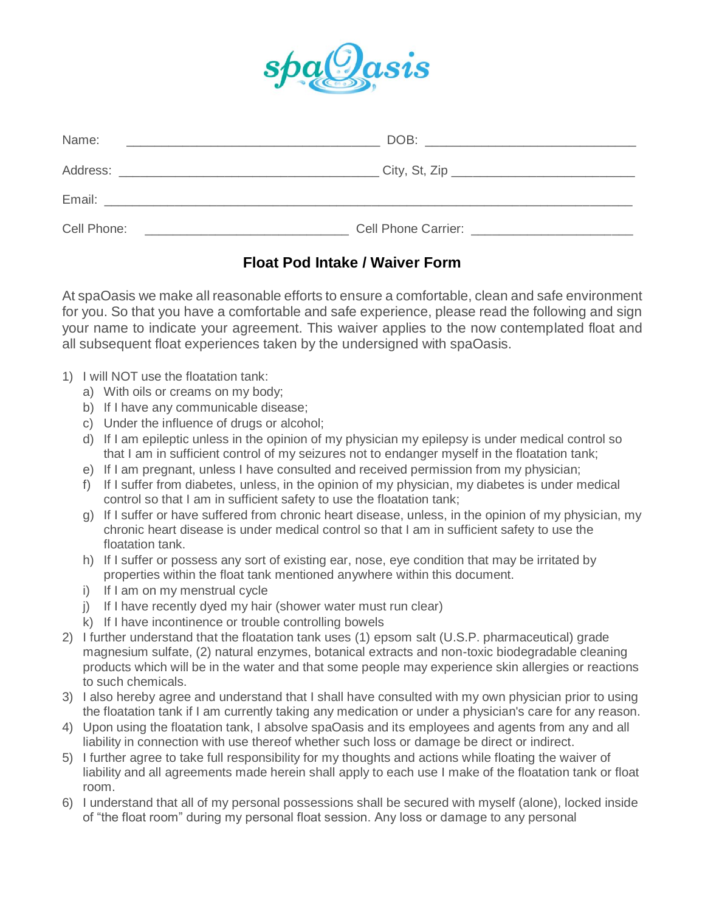

| Name:                                                                                                                               | DOB:<br><u> 1980 - Jan Barbara, martxa al II-lea (h. 1980).</u><br>1900 - Johann Stein, frantziar martxa eta batarra (h. 1900).                                                                                                |
|-------------------------------------------------------------------------------------------------------------------------------------|--------------------------------------------------------------------------------------------------------------------------------------------------------------------------------------------------------------------------------|
| Address:<br><u> 1980 - Jan Samuel Barbara, margaret e</u>                                                                           | City, St, Zip ____________________________                                                                                                                                                                                     |
| Email:                                                                                                                              |                                                                                                                                                                                                                                |
| Cell Phone:<br><u> 1980 - Jan Stein Harry Stein Harry Stein Harry Stein Harry Stein Harry Stein Harry Stein Harry Stein Harry S</u> | Cell Phone Carrier: The Case of the Case of the Carrier and the Case of the Case of the Case of the Case of the Case of the Case of the Case of the Case of the Case of the Case of the Case of the Case of the Case of the Ca |

# **Float Pod Intake / Waiver Form**

At spaOasis we make all reasonable efforts to ensure a comfortable, clean and safe environment for you. So that you have a comfortable and safe experience, please read the following and sign your name to indicate your agreement. This waiver applies to the now contemplated float and all subsequent float experiences taken by the undersigned with spaOasis.

- 1) I will NOT use the floatation tank:
	- a) With oils or creams on my body;
	- b) If I have any communicable disease;
	- c) Under the influence of drugs or alcohol;
	- d) If I am epileptic unless in the opinion of my physician my epilepsy is under medical control so that I am in sufficient control of my seizures not to endanger myself in the floatation tank;
	- e) If I am pregnant, unless I have consulted and received permission from my physician;
	- f) If I suffer from diabetes, unless, in the opinion of my physician, my diabetes is under medical control so that I am in sufficient safety to use the floatation tank;
	- g) If I suffer or have suffered from chronic heart disease, unless, in the opinion of my physician, my chronic heart disease is under medical control so that I am in sufficient safety to use the floatation tank.
	- h) If I suffer or possess any sort of existing ear, nose, eye condition that may be irritated by properties within the float tank mentioned anywhere within this document.
	- i) If I am on my menstrual cycle
	- j) If I have recently dyed my hair (shower water must run clear)
	- k) If I have incontinence or trouble controlling bowels
- 2) I further understand that the floatation tank uses (1) epsom salt (U.S.P. pharmaceutical) grade magnesium sulfate, (2) natural enzymes, botanical extracts and non-toxic biodegradable cleaning products which will be in the water and that some people may experience skin allergies or reactions to such chemicals.
- 3) I also hereby agree and understand that I shall have consulted with my own physician prior to using the floatation tank if I am currently taking any medication or under a physician's care for any reason.
- 4) Upon using the floatation tank, I absolve spaOasis and its employees and agents from any and all liability in connection with use thereof whether such loss or damage be direct or indirect.
- 5) I further agree to take full responsibility for my thoughts and actions while floating the waiver of liability and all agreements made herein shall apply to each use I make of the floatation tank or float room.
- 6) I understand that all of my personal possessions shall be secured with myself (alone), locked inside of "the float room" during my personal float session. Any loss or damage to any personal